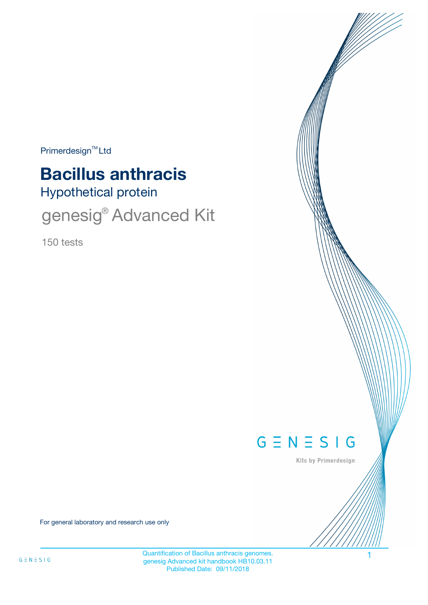$Primerdesign<sup>™</sup>Ltd$ 

# **Bacillus anthracis**

Hypothetical protein

genesig<sup>®</sup> Advanced Kit

150 tests



Kits by Primerdesign

For general laboratory and research use only

Quantification of Bacillus anthracis genomes. 1 genesig Advanced kit handbook HB10.03.11 Published Date: 09/11/2018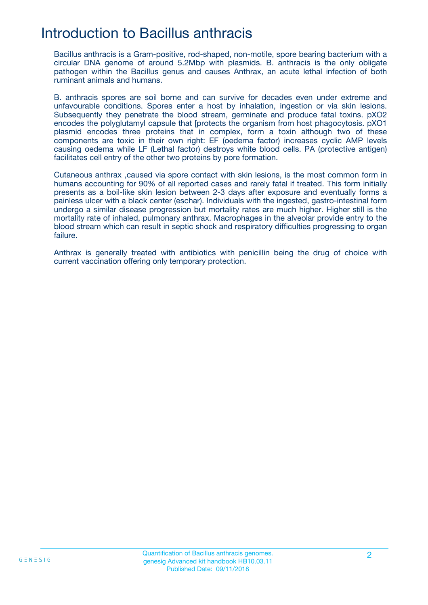## Introduction to Bacillus anthracis

Bacillus anthracis is a Gram-positive, rod-shaped, non-motile, spore bearing bacterium with a circular DNA genome of around 5.2Mbp with plasmids. B. anthracis is the only obligate pathogen within the Bacillus genus and causes Anthrax, an acute lethal infection of both ruminant animals and humans.

B. anthracis spores are soil borne and can survive for decades even under extreme and unfavourable conditions. Spores enter a host by inhalation, ingestion or via skin lesions. Subsequently they penetrate the blood stream, germinate and produce fatal toxins. pXO2 encodes the polyglutamyl capsule that [protects the organism from host phagocytosis. pXO1 plasmid encodes three proteins that in complex, form a toxin although two of these components are toxic in their own right: EF (oedema factor) increases cyclic AMP levels causing oedema while LF (Lethal factor) destroys white blood cells. PA (protective antigen) facilitates cell entry of the other two proteins by pore formation.

Cutaneous anthrax ,caused via spore contact with skin lesions, is the most common form in humans accounting for 90% of all reported cases and rarely fatal if treated. This form initially presents as a boil-like skin lesion between 2-3 days after exposure and eventually forms a painless ulcer with a black center (eschar). Individuals with the ingested, gastro-intestinal form undergo a similar disease progression but mortality rates are much higher. Higher still is the mortality rate of inhaled, pulmonary anthrax. Macrophages in the alveolar provide entry to the blood stream which can result in septic shock and respiratory difficulties progressing to organ failure.

Anthrax is generally treated with antibiotics with penicillin being the drug of choice with current vaccination offering only temporary protection.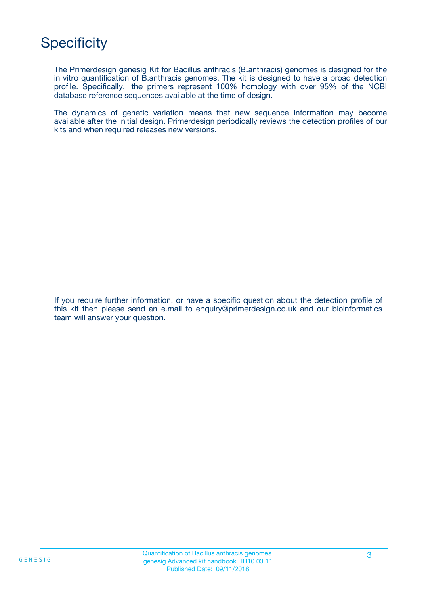# **Specificity**

The Primerdesign genesig Kit for Bacillus anthracis (B.anthracis) genomes is designed for the in vitro quantification of B.anthracis genomes. The kit is designed to have a broad detection profile. Specifically, the primers represent 100% homology with over 95% of the NCBI database reference sequences available at the time of design.

The dynamics of genetic variation means that new sequence information may become available after the initial design. Primerdesign periodically reviews the detection profiles of our kits and when required releases new versions.

If you require further information, or have a specific question about the detection profile of this kit then please send an e.mail to enquiry@primerdesign.co.uk and our bioinformatics team will answer your question.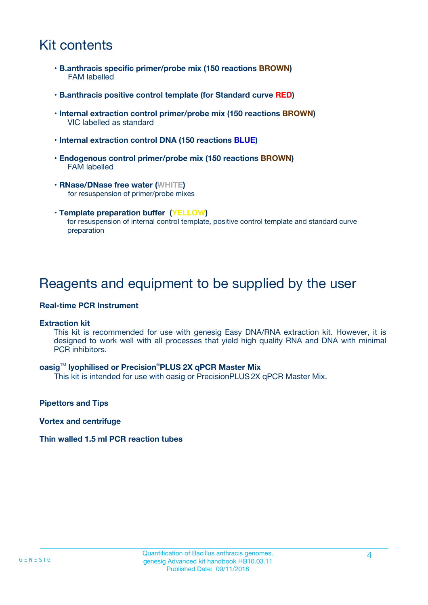# Kit contents

- **B.anthracis specific primer/probe mix (150 reactions BROWN)** FAM labelled
- **B.anthracis positive control template (for Standard curve RED)**
- **Internal extraction control primer/probe mix (150 reactions BROWN)** VIC labelled as standard
- **Internal extraction control DNA (150 reactions BLUE)**
- **Endogenous control primer/probe mix (150 reactions BROWN)** FAM labelled
- **RNase/DNase free water (WHITE)** for resuspension of primer/probe mixes
- **Template preparation buffer (YELLOW)** for resuspension of internal control template, positive control template and standard curve preparation

### Reagents and equipment to be supplied by the user

#### **Real-time PCR Instrument**

#### **Extraction kit**

This kit is recommended for use with genesig Easy DNA/RNA extraction kit. However, it is designed to work well with all processes that yield high quality RNA and DNA with minimal PCR inhibitors.

#### **oasig**TM **lyophilised or Precision**®**PLUS 2X qPCR Master Mix**

This kit is intended for use with oasig or PrecisionPLUS2X qPCR Master Mix.

**Pipettors and Tips**

**Vortex and centrifuge**

#### **Thin walled 1.5 ml PCR reaction tubes**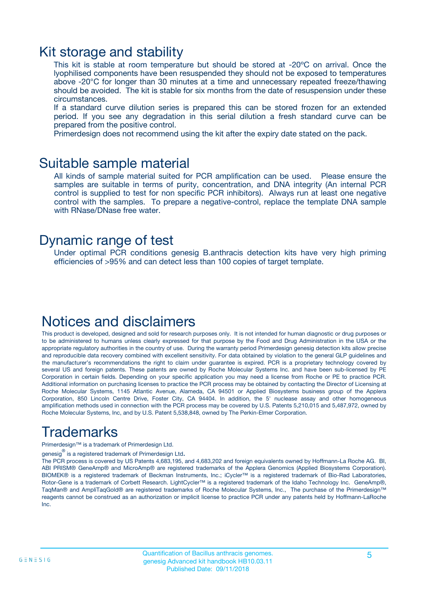### Kit storage and stability

This kit is stable at room temperature but should be stored at -20ºC on arrival. Once the lyophilised components have been resuspended they should not be exposed to temperatures above -20°C for longer than 30 minutes at a time and unnecessary repeated freeze/thawing should be avoided. The kit is stable for six months from the date of resuspension under these circumstances.

If a standard curve dilution series is prepared this can be stored frozen for an extended period. If you see any degradation in this serial dilution a fresh standard curve can be prepared from the positive control.

Primerdesign does not recommend using the kit after the expiry date stated on the pack.

### Suitable sample material

All kinds of sample material suited for PCR amplification can be used. Please ensure the samples are suitable in terms of purity, concentration, and DNA integrity (An internal PCR control is supplied to test for non specific PCR inhibitors). Always run at least one negative control with the samples. To prepare a negative-control, replace the template DNA sample with RNase/DNase free water.

### Dynamic range of test

Under optimal PCR conditions genesig B.anthracis detection kits have very high priming efficiencies of >95% and can detect less than 100 copies of target template.

### Notices and disclaimers

This product is developed, designed and sold for research purposes only. It is not intended for human diagnostic or drug purposes or to be administered to humans unless clearly expressed for that purpose by the Food and Drug Administration in the USA or the appropriate regulatory authorities in the country of use. During the warranty period Primerdesign genesig detection kits allow precise and reproducible data recovery combined with excellent sensitivity. For data obtained by violation to the general GLP guidelines and the manufacturer's recommendations the right to claim under guarantee is expired. PCR is a proprietary technology covered by several US and foreign patents. These patents are owned by Roche Molecular Systems Inc. and have been sub-licensed by PE Corporation in certain fields. Depending on your specific application you may need a license from Roche or PE to practice PCR. Additional information on purchasing licenses to practice the PCR process may be obtained by contacting the Director of Licensing at Roche Molecular Systems, 1145 Atlantic Avenue, Alameda, CA 94501 or Applied Biosystems business group of the Applera Corporation, 850 Lincoln Centre Drive, Foster City, CA 94404. In addition, the 5' nuclease assay and other homogeneous amplification methods used in connection with the PCR process may be covered by U.S. Patents 5,210,015 and 5,487,972, owned by Roche Molecular Systems, Inc, and by U.S. Patent 5,538,848, owned by The Perkin-Elmer Corporation.

# Trademarks

Primerdesign™ is a trademark of Primerdesign Ltd.

genesig $^\circledR$  is a registered trademark of Primerdesign Ltd.

The PCR process is covered by US Patents 4,683,195, and 4,683,202 and foreign equivalents owned by Hoffmann-La Roche AG. BI, ABI PRISM® GeneAmp® and MicroAmp® are registered trademarks of the Applera Genomics (Applied Biosystems Corporation). BIOMEK® is a registered trademark of Beckman Instruments, Inc.; iCycler™ is a registered trademark of Bio-Rad Laboratories, Rotor-Gene is a trademark of Corbett Research. LightCycler™ is a registered trademark of the Idaho Technology Inc. GeneAmp®, TaqMan® and AmpliTaqGold® are registered trademarks of Roche Molecular Systems, Inc., The purchase of the Primerdesign™ reagents cannot be construed as an authorization or implicit license to practice PCR under any patents held by Hoffmann-LaRoche Inc.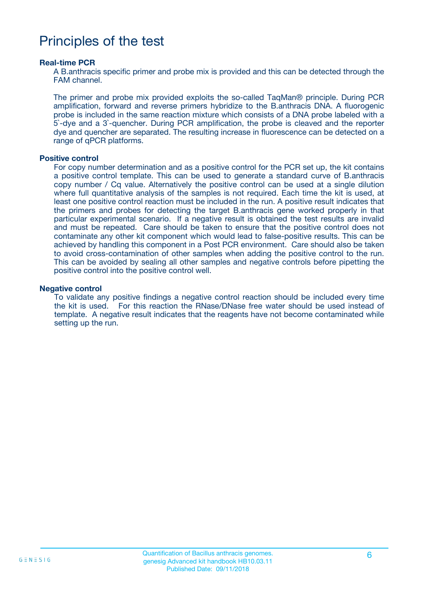## Principles of the test

#### **Real-time PCR**

A B.anthracis specific primer and probe mix is provided and this can be detected through the FAM channel.

The primer and probe mix provided exploits the so-called TaqMan® principle. During PCR amplification, forward and reverse primers hybridize to the B.anthracis DNA. A fluorogenic probe is included in the same reaction mixture which consists of a DNA probe labeled with a 5`-dye and a 3`-quencher. During PCR amplification, the probe is cleaved and the reporter dye and quencher are separated. The resulting increase in fluorescence can be detected on a range of qPCR platforms.

#### **Positive control**

For copy number determination and as a positive control for the PCR set up, the kit contains a positive control template. This can be used to generate a standard curve of B.anthracis copy number / Cq value. Alternatively the positive control can be used at a single dilution where full quantitative analysis of the samples is not required. Each time the kit is used, at least one positive control reaction must be included in the run. A positive result indicates that the primers and probes for detecting the target B.anthracis gene worked properly in that particular experimental scenario. If a negative result is obtained the test results are invalid and must be repeated. Care should be taken to ensure that the positive control does not contaminate any other kit component which would lead to false-positive results. This can be achieved by handling this component in a Post PCR environment. Care should also be taken to avoid cross-contamination of other samples when adding the positive control to the run. This can be avoided by sealing all other samples and negative controls before pipetting the positive control into the positive control well.

#### **Negative control**

To validate any positive findings a negative control reaction should be included every time the kit is used. For this reaction the RNase/DNase free water should be used instead of template. A negative result indicates that the reagents have not become contaminated while setting up the run.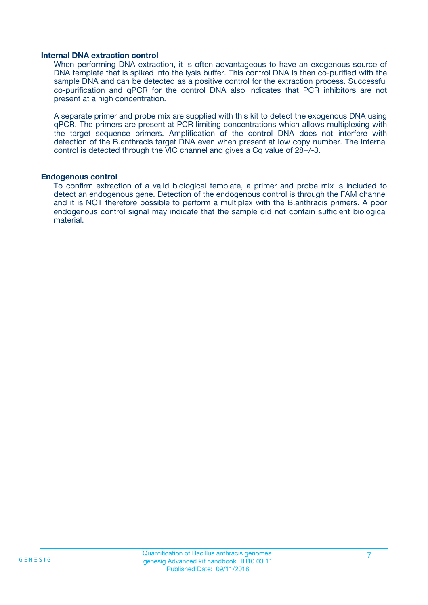#### **Internal DNA extraction control**

When performing DNA extraction, it is often advantageous to have an exogenous source of DNA template that is spiked into the lysis buffer. This control DNA is then co-purified with the sample DNA and can be detected as a positive control for the extraction process. Successful co-purification and qPCR for the control DNA also indicates that PCR inhibitors are not present at a high concentration.

A separate primer and probe mix are supplied with this kit to detect the exogenous DNA using qPCR. The primers are present at PCR limiting concentrations which allows multiplexing with the target sequence primers. Amplification of the control DNA does not interfere with detection of the B.anthracis target DNA even when present at low copy number. The Internal control is detected through the VIC channel and gives a Cq value of 28+/-3.

#### **Endogenous control**

To confirm extraction of a valid biological template, a primer and probe mix is included to detect an endogenous gene. Detection of the endogenous control is through the FAM channel and it is NOT therefore possible to perform a multiplex with the B.anthracis primers. A poor endogenous control signal may indicate that the sample did not contain sufficient biological material.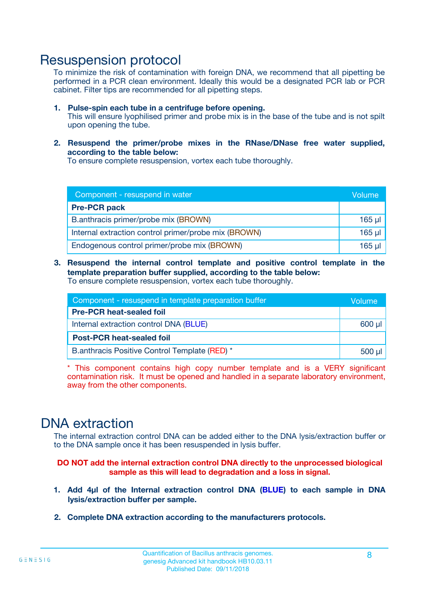### Resuspension protocol

To minimize the risk of contamination with foreign DNA, we recommend that all pipetting be performed in a PCR clean environment. Ideally this would be a designated PCR lab or PCR cabinet. Filter tips are recommended for all pipetting steps.

- **1. Pulse-spin each tube in a centrifuge before opening.** This will ensure lyophilised primer and probe mix is in the base of the tube and is not spilt upon opening the tube.
- **2. Resuspend the primer/probe mixes in the RNase/DNase free water supplied, according to the table below:**

To ensure complete resuspension, vortex each tube thoroughly.

| Component - resuspend in water                       |         |  |
|------------------------------------------------------|---------|--|
| <b>Pre-PCR pack</b>                                  |         |  |
| B.anthracis primer/probe mix (BROWN)                 | $165$ µ |  |
| Internal extraction control primer/probe mix (BROWN) | 165 µl  |  |
| Endogenous control primer/probe mix (BROWN)          | 165 µl  |  |

**3. Resuspend the internal control template and positive control template in the template preparation buffer supplied, according to the table below:** To ensure complete resuspension, vortex each tube thoroughly.

| Component - resuspend in template preparation buffer |  |  |  |
|------------------------------------------------------|--|--|--|
| <b>Pre-PCR heat-sealed foil</b>                      |  |  |  |
| Internal extraction control DNA (BLUE)               |  |  |  |
| <b>Post-PCR heat-sealed foil</b>                     |  |  |  |
| B.anthracis Positive Control Template (RED) *        |  |  |  |

\* This component contains high copy number template and is a VERY significant contamination risk. It must be opened and handled in a separate laboratory environment, away from the other components.

### DNA extraction

The internal extraction control DNA can be added either to the DNA lysis/extraction buffer or to the DNA sample once it has been resuspended in lysis buffer.

**DO NOT add the internal extraction control DNA directly to the unprocessed biological sample as this will lead to degradation and a loss in signal.**

- **1. Add 4µl of the Internal extraction control DNA (BLUE) to each sample in DNA lysis/extraction buffer per sample.**
- **2. Complete DNA extraction according to the manufacturers protocols.**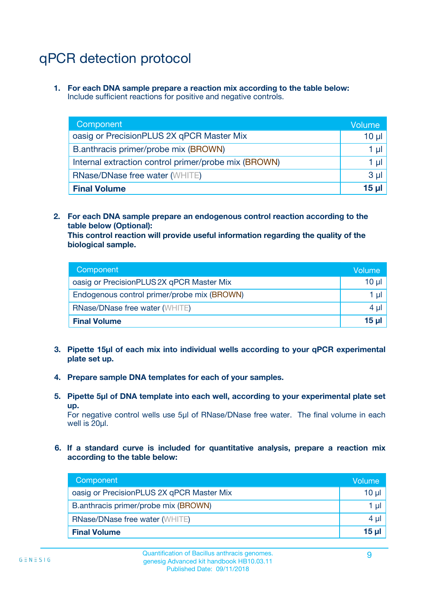# qPCR detection protocol

**1. For each DNA sample prepare a reaction mix according to the table below:** Include sufficient reactions for positive and negative controls.

| Component                                            | Volume   |
|------------------------------------------------------|----------|
| oasig or PrecisionPLUS 2X qPCR Master Mix            | 10 $\mu$ |
| B.anthracis primer/probe mix (BROWN)                 | 1 µI I   |
| Internal extraction control primer/probe mix (BROWN) | 1 µl     |
| <b>RNase/DNase free water (WHITE)</b>                | $3 \mu$  |
| <b>Final Volume</b>                                  | 15 µl    |

**2. For each DNA sample prepare an endogenous control reaction according to the table below (Optional):**

**This control reaction will provide useful information regarding the quality of the biological sample.**

| Component                                   | Volume   |
|---------------------------------------------|----------|
| oasig or PrecisionPLUS 2X qPCR Master Mix   | $10 \mu$ |
| Endogenous control primer/probe mix (BROWN) | 1 µI     |
| <b>RNase/DNase free water (WHITE)</b>       | $4 \mu$  |
| <b>Final Volume</b>                         | 15 µl    |

- **3. Pipette 15µl of each mix into individual wells according to your qPCR experimental plate set up.**
- **4. Prepare sample DNA templates for each of your samples.**
- **5. Pipette 5µl of DNA template into each well, according to your experimental plate set up.**

For negative control wells use 5µl of RNase/DNase free water. The final volume in each well is 20ul.

**6. If a standard curve is included for quantitative analysis, prepare a reaction mix according to the table below:**

| Component                                 | Volume  |
|-------------------------------------------|---------|
| oasig or PrecisionPLUS 2X qPCR Master Mix | 10 µl   |
| B.anthracis primer/probe mix (BROWN)      | 1 µI    |
| <b>RNase/DNase free water (WHITE)</b>     | $4 \mu$ |
| <b>Final Volume</b>                       | 15 µl   |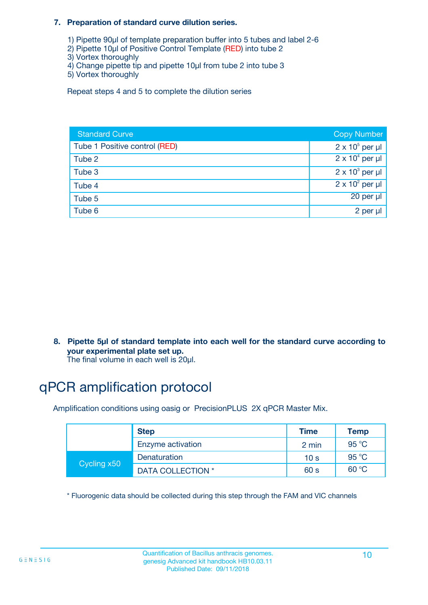#### **7. Preparation of standard curve dilution series.**

- 1) Pipette 90µl of template preparation buffer into 5 tubes and label 2-6
- 2) Pipette 10µl of Positive Control Template (RED) into tube 2
- 3) Vortex thoroughly
- 4) Change pipette tip and pipette 10µl from tube 2 into tube 3
- 5) Vortex thoroughly

Repeat steps 4 and 5 to complete the dilution series

| <b>Standard Curve</b>         | <b>Copy Number</b>     |
|-------------------------------|------------------------|
| Tube 1 Positive control (RED) | $2 \times 10^5$ per µl |
| Tube 2                        | $2 \times 10^4$ per µl |
| Tube 3                        | $2 \times 10^3$ per µl |
| Tube 4                        | $2 \times 10^2$ per µl |
| Tube 5                        | 20 per µl              |
| Tube 6                        | 2 per µl               |

**8. Pipette 5µl of standard template into each well for the standard curve according to your experimental plate set up.**

#### The final volume in each well is 20µl.

# qPCR amplification protocol

Amplification conditions using oasig or PrecisionPLUS 2X qPCR Master Mix.

|             | <b>Step</b>       | <b>Time</b>     | Temp    |
|-------------|-------------------|-----------------|---------|
|             | Enzyme activation | 2 min           | 95 °C   |
| Cycling x50 | Denaturation      | 10 <sub>s</sub> | 95 $°C$ |
|             | DATA COLLECTION * | 60 s            | 60 °C   |

\* Fluorogenic data should be collected during this step through the FAM and VIC channels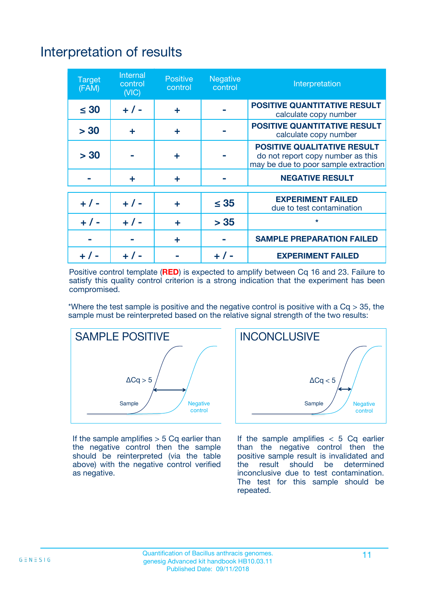# Interpretation of results

| <b>Target</b><br>(FAM) | <b>Internal</b><br>control<br>(NIC) | <b>Positive</b><br>control | <b>Negative</b><br>control | Interpretation                                                                                                  |
|------------------------|-------------------------------------|----------------------------|----------------------------|-----------------------------------------------------------------------------------------------------------------|
| $\leq 30$              | $+ 1 -$                             | ÷                          |                            | <b>POSITIVE QUANTITATIVE RESULT</b><br>calculate copy number                                                    |
| > 30                   | ٠                                   | ÷                          |                            | <b>POSITIVE QUANTITATIVE RESULT</b><br>calculate copy number                                                    |
| > 30                   |                                     | ÷                          |                            | <b>POSITIVE QUALITATIVE RESULT</b><br>do not report copy number as this<br>may be due to poor sample extraction |
|                        | ÷                                   | ÷                          |                            | <b>NEGATIVE RESULT</b>                                                                                          |
| $+ 1 -$                | $+ 1 -$                             | ÷                          | $\leq$ 35                  | <b>EXPERIMENT FAILED</b><br>due to test contamination                                                           |
| $+$ / -                | $+ 1 -$                             | ÷                          | > 35                       | $\star$                                                                                                         |
|                        |                                     | ÷                          |                            | <b>SAMPLE PREPARATION FAILED</b>                                                                                |
|                        |                                     |                            | $+$ /                      | <b>EXPERIMENT FAILED</b>                                                                                        |

Positive control template (**RED**) is expected to amplify between Cq 16 and 23. Failure to satisfy this quality control criterion is a strong indication that the experiment has been compromised.

\*Where the test sample is positive and the negative control is positive with a  $Ca > 35$ , the sample must be reinterpreted based on the relative signal strength of the two results:



If the sample amplifies  $> 5$  Cq earlier than the negative control then the sample should be reinterpreted (via the table above) with the negative control verified as negative.



If the sample amplifies  $< 5$  Cq earlier than the negative control then the positive sample result is invalidated and<br>the result should be determined  $the$  result should be inconclusive due to test contamination. The test for this sample should be repeated.